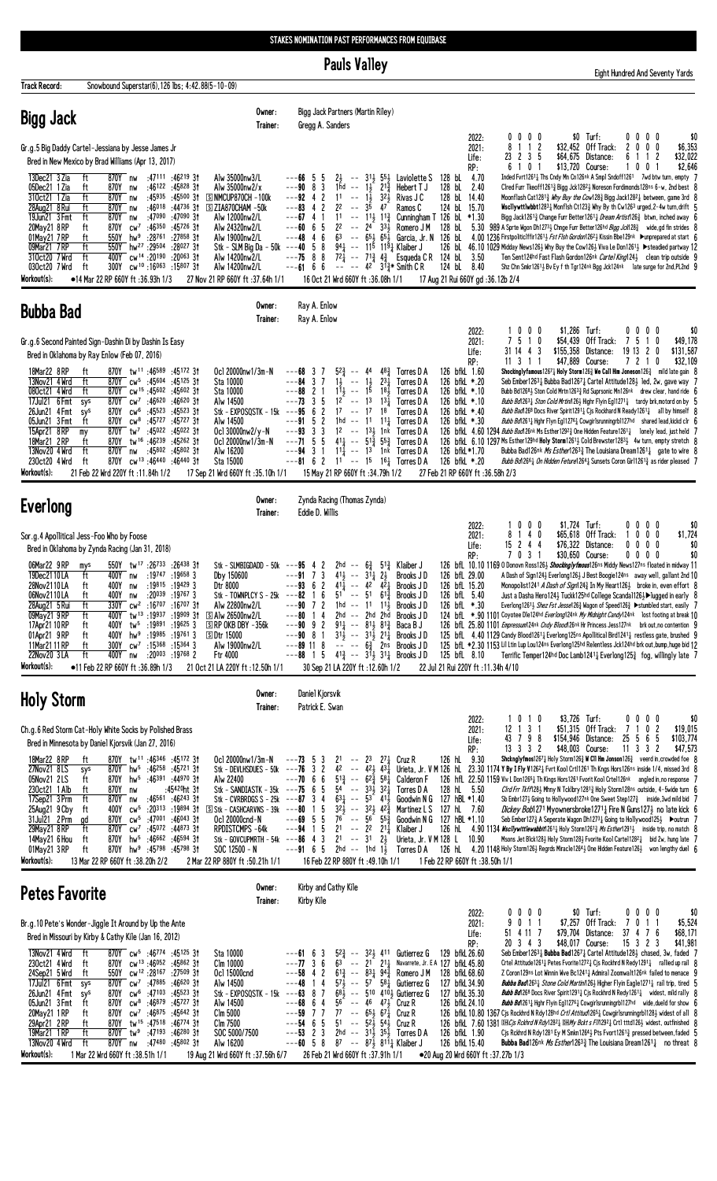**Pauls Valley** 

|                                                                                                                                                                                              |                                                                                                                                                                                                                                                                                                                                                                                                                                                                                                                                                                                                                                                                                                                                                                                                                                                                                                                                                                                                                          | <b>Pauls Valley</b>                                                                                                                                                                                                                                                                                                                                                                                                                                                                                                                                                                                                                                                                                                                                                                                                                                                                                                                                                                                                                                                                                  | Eight Hundred And Seventy Yards                                                                                                                                                                                                                                                                                                                                                                                                                                                                                                                                                                                                                                                                                                                                                                                                                                                                                                                                                                                                                                                                                                                                                                                                                                                                                                        |  |  |  |  |
|----------------------------------------------------------------------------------------------------------------------------------------------------------------------------------------------|--------------------------------------------------------------------------------------------------------------------------------------------------------------------------------------------------------------------------------------------------------------------------------------------------------------------------------------------------------------------------------------------------------------------------------------------------------------------------------------------------------------------------------------------------------------------------------------------------------------------------------------------------------------------------------------------------------------------------------------------------------------------------------------------------------------------------------------------------------------------------------------------------------------------------------------------------------------------------------------------------------------------------|------------------------------------------------------------------------------------------------------------------------------------------------------------------------------------------------------------------------------------------------------------------------------------------------------------------------------------------------------------------------------------------------------------------------------------------------------------------------------------------------------------------------------------------------------------------------------------------------------------------------------------------------------------------------------------------------------------------------------------------------------------------------------------------------------------------------------------------------------------------------------------------------------------------------------------------------------------------------------------------------------------------------------------------------------------------------------------------------------|----------------------------------------------------------------------------------------------------------------------------------------------------------------------------------------------------------------------------------------------------------------------------------------------------------------------------------------------------------------------------------------------------------------------------------------------------------------------------------------------------------------------------------------------------------------------------------------------------------------------------------------------------------------------------------------------------------------------------------------------------------------------------------------------------------------------------------------------------------------------------------------------------------------------------------------------------------------------------------------------------------------------------------------------------------------------------------------------------------------------------------------------------------------------------------------------------------------------------------------------------------------------------------------------------------------------------------------|--|--|--|--|
| <b>Track Record:</b>                                                                                                                                                                         | Snowbound Superstar(6), 126 lbs; 4:42.88(5-10-09)                                                                                                                                                                                                                                                                                                                                                                                                                                                                                                                                                                                                                                                                                                                                                                                                                                                                                                                                                                        |                                                                                                                                                                                                                                                                                                                                                                                                                                                                                                                                                                                                                                                                                                                                                                                                                                                                                                                                                                                                                                                                                                      |                                                                                                                                                                                                                                                                                                                                                                                                                                                                                                                                                                                                                                                                                                                                                                                                                                                                                                                                                                                                                                                                                                                                                                                                                                                                                                                                        |  |  |  |  |
| <b>Bigg Jack</b>                                                                                                                                                                             | Owner:<br>Trainer:                                                                                                                                                                                                                                                                                                                                                                                                                                                                                                                                                                                                                                                                                                                                                                                                                                                                                                                                                                                                       | Bigg Jack Partners (Martin Riley)<br>Gregg A. Sanders                                                                                                                                                                                                                                                                                                                                                                                                                                                                                                                                                                                                                                                                                                                                                                                                                                                                                                                                                                                                                                                |                                                                                                                                                                                                                                                                                                                                                                                                                                                                                                                                                                                                                                                                                                                                                                                                                                                                                                                                                                                                                                                                                                                                                                                                                                                                                                                                        |  |  |  |  |
| 13Dec21 3 Zia<br>05Dec21 1 Zia<br>310ct21 1 Zia<br>28Aug21 8 Rui<br>19Jun21 3 Fmt<br>20May21 8RP<br>01May21 7RP<br>09Mar21 7RP<br>310ct20 7 Wrd<br>030ct20 7 Wrd<br>Workout(s):<br>Bubba Bad | Gr.g.5 Big Daddy Cartel-Jessiana by Jesse James Jr<br>Bred in New Mexico by Brad Williams (Apr 13, 2017)<br>ft<br>870Y nw<br>:47111 :46219 31<br>Alw 35000nw3/L<br>ft<br>870Y nw<br>$:46122$ $:458283$<br>Alw 35000nw2/x<br>:45935 :45500 31<br>ft<br>870Y nw<br>$S$ NMCUP870CH $-100k$<br>ft<br>:46018 :44736 3†<br>870Y<br>$\boxed{S}$ ZIA870CHAM -50 $k$<br>nw<br>ft<br>870Y<br>:47090<br>:47090 31<br>Alw 12000nw2/L<br>nw<br>ft<br>:46350 :45726 31<br>Alw 24320nw2/L<br>870Y<br>$cw^7$<br>:28 <sup>761</sup><br>:27858 31<br>ft<br>550Y<br>hw <sup>9</sup><br>Alw 19000nw2/L<br>ft<br>hw <sup>27</sup> :29 <sup>504</sup> :28 <sup>027</sup> 31<br>550Y<br>Stk – SLM Big Da – 50k –––40<br>cw <sup>14</sup> :20 <sup>190</sup> :20 <sup>063</sup> 31<br>ft<br>400Y<br>Alw 14200nw2/L<br>cw <sup>10</sup> :16063 :15807 3t<br>300Y<br>Alw 14200nw2/L<br>ft<br>•14 Mar 22 RP 660Y ft :36.93h 1/3<br>27 Nov 21 RP 660Y ft :37.64h 1/1<br>Owner:<br>Trainer:<br>Gr.g.6 Second Painted Sign-Dashin Di by Dashin Is Easy | 2022:<br>2021:<br>Life:<br>RP:<br>4.70<br>-5<br>$2\frac{1}{2}$<br>$--$ 3 <sup>1</sup> $\frac{1}{2}$ 5 <sup>5</sup> $\frac{1}{2}$ Laviolette S<br>128 bL<br>$---6655$<br>$---90 8 3$<br>128 bL<br>$1hd - -$<br>$1\frac{1}{2}$ $2^{1\frac{3}{4}}$<br>Hebert T J<br>2.40<br>$---92$ 4 2<br>$1\overline{1}$<br>128 bL 14.40<br>$11 - -$<br>321<br>Rivas J C<br>$3\bar{5}$<br>$---83$ 4 2<br>2 <sup>2</sup><br>124 bL 15.70<br>$\sim$ $\sim$<br>- 47<br>Ramos C<br>$-- 11\frac{1}{2}$ $11\frac{3}{4}$<br>4 1<br>11<br>Cunningham T 126 bL *1.30<br>---67<br>-5<br>6<br>22<br>$--$ 24 33 $\frac{1}{2}$<br>Romero J M<br>128 bL<br>5.30<br>---60<br>46<br>6 <sup>3</sup><br>$-- 65\frac{1}{2} 65\frac{1}{2}$<br>126 bL<br>Garcia, Jr. N<br>---48<br>58<br>$94\frac{1}{4}$ -- 115 119 $\frac{1}{4}$ Klaiber J<br>88<br>$72\frac{1}{4}$ -- $71\frac{3}{4}$ $4\frac{3}{4}$ Esqueda C R 124 bl 3.50<br>---75<br>$---6166$<br>$  -$ 42 $3^{13}$ Smith C R<br>124 bL<br>8.40<br>16 Oct 21 Wrd 660Y ft:36.08h 1/1<br>17 Aug 21 Rui 660Y gd : 36.12b 2/4<br>Ray A. Enlow<br>Ray A. Enlow<br>2022:<br>2021:<br>Life: | $0\ 0\ 0\ 0$<br>\$0 Turf:<br>$0\,0\,0\,0$<br>\$0<br>8 1 1 2<br>\$32,452 Off Track:<br>2000<br>\$6,353<br>23 2 3 5<br>$$64,675$ Distance:<br>61<br>12<br>\$32,022<br>6 1 0 1<br>\$13,720 Course:<br>\$2,646<br>001<br>1<br>Inded Fvrt12611 Ths Cndy Mn Cn126nk A Smp1 Sndoff1261 7wd btw turn, empty 7<br>Cired Furr Tkeoff12613 Bigg Jck12823 Noreson Fordimonds128ns 6-w, 2nd best 8<br>Moonflash Cat12813 <i>Why Buy the Cow</i> 1283 Bigg Jack12821 between, game 3rd 8<br>Wiscllywttlwbbt12831 Monflsh Ct1231 Why By th Cw1263 urged, 2-4w turn, drift $5$<br>Bigg Jack1261 <sup>3</sup> Change Furr Better1261 <sup>1</sup> Dream Artist126 <sup>3</sup> btwn, inched away 6<br>989 A Sprte Wgon Dh12733 Chnge Furr Better126hd Bigg Jck1283 wide, gd fin strides 8<br>4.00 1236 Firstpolitic1ffir1261 Fest Flsh Gordon1262 Kissin Bbe129nk Dunprepared at start 6<br>126 bL 46.10 1029 Midday News126½ Why Buy the Cow126½ Viva Le Don1261½ ▶ steadied partway 12<br>Ten Sent124hd Fast Flash Gordon126nk Cartel King1243 clean trip outside 9<br>Shz Chn Smkr12611 Bv Ey f th Tgr124nk Bgg Jck124nk late surge for 2nd, PL2nd 9<br>\$1,286 Turf:<br>1000<br>$0\ 0\ 0\ 0$<br>\$0<br>7 5 1 0<br>\$54,439 Off Track:<br>75<br>\$49,178<br>10<br>31 14 4 3<br>\$155,358 Distance:<br>191320<br>\$131,587                            |  |  |  |  |
| 18Mar22 8 RP<br>13Nov21 4 Wrd<br>080ct21 4 Wrd<br>17Jul21 6 Fmt<br>26Jun21 4Fmt<br>05Jun21 3 Fmt<br>15Apr21 8RP<br>my<br>18Mar21 2RP<br>13Nov20 4 Wrd<br>230ct20 4 Wrd<br>Workout(s):        | Bred in Oklahoma by Ray Enlow (Feb 07, 2016)<br>870Y tw <sup>11</sup> :46589 :45172 3t<br>ft<br>Oc1 20000nw1/3m-N<br>870Y cw <sup>5</sup> :45604 :45125 3t<br>ft<br>Sta 10000<br>870Y cw <sup>15</sup> :45602:4560231<br>ft<br>Sta 10000<br>cw <sup>7</sup> :46 <sup>620</sup> :46 <sup>620</sup> 3†<br>Alw 14500<br>sys<br>870Y<br>:45 <sup>523</sup> :45 <sup>523</sup> 31<br>870Y<br>$CW^6$<br>Stk - $EXPOSQSTK - 15k$ --- $95$<br>sys<br>ft<br>$\text{cw}^8$<br>:45727 :45727 31<br>Alw 14500<br>870Y<br>870Y tw <sup>7</sup> :45022 :45022 31<br>Ocl 30000nw2/y-N<br>ft<br>tw <sup>16</sup> :46 <sup>239</sup> :45262 31<br>870Y<br>Oc1 20000nw1/3m-N<br>ft<br>:45802 :45802 31<br>Alw 16200<br>870Y nw<br>ft<br>870Y<br>cw <sup>13</sup> :46 <sup>440</sup> :46 <sup>440</sup> 31<br>Sta 15000<br>21 Feb 22 Wrd 220Y ft: 11.84h 1/2<br>17 Sep 21 Wrd 660Y ft :35.10h 1/1                                                                                                                                           | RP:<br>$52\frac{3}{4}$ -- 44<br>126 bfkL 1.60<br>483<br>Torres D A<br>37<br>3 <sub>7</sub><br>$1\frac{1}{2}$ -- $1\frac{1}{2}$<br>$11\frac{1}{2}$ -- $15$<br>$2^{3}\frac{1}{4}$<br>126 bfkL *.20<br>Torres D A<br>---84<br>2 <sub>1</sub><br>1 <sup>5</sup><br>18 <sub>3</sub><br>126 bfkL *.10<br>---88<br>Torres D A<br>3 <sub>5</sub><br>$12^{-}$ -- 13<br>$13\frac{1}{2}$<br>126 bfkL *.10<br>---73<br>Torres D A<br>$\overline{c}$<br>$17 - -$<br>6<br>17<br>18<br>126 bfkL *.40<br>Torres D A<br>5 <sub>2</sub><br>126 bfkL *.30<br>1hd -- 11 11 <del>1</del><br>---91<br>Torres D A<br>3 <sub>3</sub><br>$1^2$ -- $1^3$ 1nk<br>Torres D A<br>---93<br>$---71$ 5 5<br>$4^{11}$ -- $5^{13}$ $5^{52}$ Torres D A<br>$---94$ 3 1<br>$11\frac{1}{4}$ -- 1 <sup>3</sup> 1 <sup>nk</sup> Torres D A<br>126 bfkL*1.70<br>$---81$ 6 2 1 <sup>1</sup> $---15$ 1 <sup>6</sup> <sup>1</sup> Torres D A<br>126 bfkL *.20<br>15 May 21 RP 660Y ft :34.79h 1/2<br>27 Feb 21 RP 660Y ft:36.58h 2/3                                                                                                            | \$47,889 Course:<br>7 2 1 0<br>\$32,109<br>11 3 1 1<br>Shockinglyfamous1267 $\frac{1}{4}$ Holy Storm126 $\frac{3}{4}$ We Call Him Joneson126 $\frac{3}{4}$ mild late gain 8<br>Seb Ember 12631 Bubba Bad12671 Cartel Attitude 1281 led, 2w, gave way 7<br>Bubb Bd12683 Ston Cold Mrtn12633 Rd Suprsonic Mn126nk drew clear, hand ride 6<br>Bubb Bd12631 Ston Cold Mrtin1261 Highr Flyin Eg112711 tardy brk, motord on by $5$<br><i>Bubb Bad</i> 1268 Docs River Spirit 1291 <sub>4</sub> Cjs Rockhard N Ready 1261 <sub>4</sub> all by himself 8<br><i>Bubb Bd</i> 1261 <sub>4</sub> Hghr Flyn Eg11276 <sub>4</sub> Cowgirlsrunningrb1127hd shared lead, kickd clr 6<br>126 bfkl. 4.60 1294 Bubb Bad126nk Ms Esther1292 <sub>3</sub> One Hidden Feature1261 <sub>4</sub> lonely lead, just held 7<br>126 bfkl 6.10 1297 Ms Esther 129hd Holy Storm 1261 <sub>2</sub> Cold Brewster 1283 <sub>2</sub> 4w turn, empty stretch 8<br>Bubba Bad126nk <i>Ms Esther</i> 126 <sup>3</sup> 3The Louisiana Dream1261 3 gate to wire 8<br><i>Bubb Bd</i> 126 <sup>6</sup> ½ <i>On Hidden Feture</i> 126 <sup>4</sup> ½ Sunsets Coron Gir1126 <sup>1</sup> ½ as rider pleased 7                                                                                                                                                                    |  |  |  |  |
| Everlong                                                                                                                                                                                     | Owner:<br>Trainer:                                                                                                                                                                                                                                                                                                                                                                                                                                                                                                                                                                                                                                                                                                                                                                                                                                                                                                                                                                                                       | Zynda Racing (Thomas Zynda)<br>Eddie D. Willis<br>2022:                                                                                                                                                                                                                                                                                                                                                                                                                                                                                                                                                                                                                                                                                                                                                                                                                                                                                                                                                                                                                                              | \$1,724 Turf:<br>1000<br>$0\ 0\ 0\ 0$<br>\$0                                                                                                                                                                                                                                                                                                                                                                                                                                                                                                                                                                                                                                                                                                                                                                                                                                                                                                                                                                                                                                                                                                                                                                                                                                                                                           |  |  |  |  |
| 06Mar22 9 RP<br>19Dec2110LA<br>28Nov2110 LA<br>06Nov2110LA<br>28Aug21 5 Rui<br>09May21 9RP<br>17Apr21 10 RP<br>01Apr21 9RP<br>11Mar21 11 RP<br>22Nov20 3LA<br>Workout(s):                    | Sor.g.4 Apollitical Jess-Foo Who by Foose<br>Bred in Oklahoma by Zynda Racing (Jan 31, 2018)<br>550Y tw <sup>17</sup> :26733 :26438 31<br>Stk - SLMBIGDADD - 50k $--95$ 4 2<br>mys<br>ft<br>400Y nw<br>:19747 :19658 3<br>Dby 150600<br>:19815 :19429 3<br>ft<br>400Y<br>Dtr 8000<br>nw<br>ft<br>$:20^{039}$ :19767 3<br>400Y<br>Stk - TOWNPLCY S - 25k<br>nw<br>:16 <sup>707</sup> :16 <sup>707</sup> 3†<br>ft<br>Alw 22800nw2/L<br>330Y<br>$cw^2$<br>tw <sup>13</sup> :19937:19909 31<br>ft<br><b>SAlw 26500nw2/L</b><br>400Y<br>tw5<br>:19891 :19625 3<br>$\Box$ RP OKB DBY -356 $k$<br>ft<br>400Y<br>hw <sup>9</sup><br>:19985 :19761 3<br><b>SDtr 15000</b><br>ft<br>400Y<br>ft<br>$cw^7$<br>$:15^{368}$ $:15^{364}$ 3<br>300Y<br>Alw 19000nw2/L<br>ft<br>400Y nw<br>$: 20^{003} : 19^{768} 2$<br>Ftr 4000<br>$\bullet$ 11 Feb 22 RP 660Y ft:36.89h 1/3<br>21 Oct 21 LA 220Y ft: 12.50h 1/1                                                                                                                         | 2021:<br>Life:<br>RP:<br>2hd -- $6\frac{3}{4}$ 5 <sup>13</sup> / <sub>4</sub> Klaiber J<br>$--91$ 7 3<br>$41\frac{1}{2}$ -- $31\frac{1}{4}$ $2\frac{1}{2}$<br>126 bfL 29.00<br>Brooks J D<br>$---93$ 6 2<br>$41\frac{1}{4}$ -- $42$ $42\frac{1}{4}$<br>Brooks JD<br>126 bfL 15.20<br>6<br>5 <sup>1</sup><br>126 bfL 5.40<br>---82<br>$\sim$ $\sim$<br>-51<br>$61\frac{3}{4}$<br>Brooks J D<br>$\mathbf{1}$<br>2<br>1hd -- 11<br>Brooks JD<br>7<br>$11\frac{1}{2}$<br>126 bfL *.30<br>$2hd$ -- $2hd$ $2hd$<br>Brooks JD<br>$\frac{1}{2}$<br>9 <sub>2</sub><br>$91\frac{1}{4}$ -- $81\frac{1}{2}$ $81\frac{3}{4}$<br>---90<br>Baca B J<br>$---90$ 8 1<br>$31\frac{1}{2}$ -- $31\frac{1}{2}$ $21\frac{1}{4}$<br>Brooks J D<br>$---89$ 11 8<br>$-- - - 6\frac{3}{4}$<br>2ns Brooks JD<br>15<br>$4^{13}$ -- $3^{11}$ $3^{11}$ Brooks JD<br>125 bfL 8.10<br>---88<br>22 Jul 21 Rui 220Y ft : 11.34h 4/10<br>30 Sep 21 LA 220Y ft :12.60h 1/2                                                                                                                                                               | 8 1 4 0<br>\$65,618 Off Track:<br>$0\quad 0\quad 0$<br>\$1,724<br>$\overline{1}$<br>$15$ 2 4 4<br>\$76,322 Distance:<br>$0\ 0\ 0\ 0$<br>\$0<br>7 0 3 1<br>$0\ 0\ 0\ 0$<br>\$0<br>\$30,650 Course:<br>126 bfL 10.10 1169 0 Donovn Ross126½ Shockingly fmous126ns Middy News127ns floated in midway 11<br>A Dash of Sign1243 Everlong1263 J Best Boogie124ns away well, gallant 2nd 10<br>Monopolist1241 <i>A Dash of Sign</i> 124 <sup>3</sup> In My Heart126 <sup>3</sup> broke in, even effort 8<br>Just a Dasha Hero124} Tuckk125hd College Scandal126}▶lugged in early 8<br>Everlong1261 3 Shez Fst Jesse126 3 Wagon of Speed126 3 ▶ stumbled start, easily 7<br>124 bfL *.90 1101 Coyotee Dle124hd Everlong124nk My Midnight Candy124nk lost footing at break 10<br>126 bfl 25.80 1101 <i>Empressum</i> 124nk Cndy Blood126nk Hr Princess Jess127nk brk out, no contention 9<br>125 bfl. 4.40 1129 Candy Blood12611 Everlong125ns Apollitical Bird12411 restless gate, brushed 9<br>125 bfL *2.30 1153 Lil Ltin Lup Lou124ns Everlong125hd Relentless Jck124hd brk out,bump,huge bid 12<br>Terrific Temper124hd Doc Lamb1241 $\frac{1}{4}$ Everlong125 $\frac{3}{4}$ fog, willingly late 7                                                                                                                                         |  |  |  |  |
| Daniel Kjorsvik<br>Owner:<br><b>Holy Storm</b><br>Patrick E. Swan<br>Trainer:                                                                                                                |                                                                                                                                                                                                                                                                                                                                                                                                                                                                                                                                                                                                                                                                                                                                                                                                                                                                                                                                                                                                                          |                                                                                                                                                                                                                                                                                                                                                                                                                                                                                                                                                                                                                                                                                                                                                                                                                                                                                                                                                                                                                                                                                                      |                                                                                                                                                                                                                                                                                                                                                                                                                                                                                                                                                                                                                                                                                                                                                                                                                                                                                                                                                                                                                                                                                                                                                                                                                                                                                                                                        |  |  |  |  |
| 18Mar22 8 RP<br>27Nov21 8LS<br>05Nov21 2LS<br>230ct21 1 Alb<br>17Sep21 3 Prm<br>25Aug21 9 Cby<br>31Jul21 2 Prm<br>29May21 8RP<br>14May21 6 Hou<br>01May21 3 RP<br>Workout(s):                | Ch.g.6 Red Storm Cat-Holy White Socks by Polished Brass<br>Bred in Minnesota by Daniel Kjorsvik (Jan 27, 2016)<br>870Y tw <sup>11</sup> :46 <sup>346</sup> :4517231<br>Ocl 20000nw1/3m-N<br>ft<br>870Y hw <sup>5</sup> :46258 :45721 3t<br>Stk - DEVLHSDUES - 50k<br>sys<br>hw <sup>5</sup><br>:46391 :44970 31<br>ft<br>870Y<br>Alw 22400<br>ft<br>:45420ht 3†<br>Stk - SANDIASTK - $35k$ ---75<br>870Y<br>nw<br>ft<br>:46561 :46243 31<br>Stk - CVRBRDGS S - 25k<br>870Y<br>nw<br>$: 20^{313} : 19^{894} 31$<br>$\boxed{5}$ Stk - CASHCARVNS - 39k ---80<br>ft<br>400Y<br>CW <sup>5</sup><br>CW <sup>5</sup><br>:47001 :46043 31<br>Ocl 20000cnd-N<br>ad<br>870Y<br>:45072 :44873 31<br>RPDISTCMPS -64k<br>ft<br>870Y<br>$CW^7$<br>ft<br>hw <sup>5</sup><br>:46662 :46594 31<br>870Y<br>Stk - GOVCUPMRTH - 54 $k$ ---86<br>ft<br>870Y<br>hw <sup>9</sup><br>:45 <sup>798</sup> :45 <sup>798</sup> 31<br>SOC 12500 - N<br>13 Mar 22 RP 660Y ft:38.20h 2/2<br>2 Mar 22 RP 880Y ft: 50.21h 1/1                            | 2022:<br>2021:<br>Life:<br>RP:<br>126 hL<br>9.30<br>$---73$ 5 3<br>21<br>23 27 $\frac{1}{4}$ Cruz R<br>$\sim$ $-$<br>$\overline{\mathbf{c}}$<br>42<br>$42\frac{1}{2}$ $43\frac{1}{4}$<br>Urieta, Jr. V M 126 hL<br>3<br>---76<br>$\sim$ $\sim$<br>---70<br>6<br>6<br>$5^{13}$<br>$-- 62\frac{3}{4} 58\frac{1}{4}$<br>Calderon F<br>5<br>6<br>54 --<br>$33\frac{1}{2}$<br>321<br>128 hL 5.50<br>Torres D A<br>$\overline{4}$<br>$63\frac{1}{4}$<br>$\mathbb{Z}^2$<br>$53 - 41\frac{1}{2}$<br>127 hBL *1.40<br>3<br>---87<br>Goodwin N G<br>5<br>$3^{2}$<br>$\sim$ $-$<br>$3^2\frac{1}{2}$ 4 <sup>2</sup> $\frac{3}{4}$<br>127 hL 7.60<br>Martinez L S<br>-1<br>5 <sub>5</sub><br>76<br>$-- 56 \overline{553}$<br>---69<br>Goodwin N G 127 hBL *1.10<br>5<br>2 <sup>1</sup><br>$\sim$ $\sim$<br>22<br>$2^{11}$<br>Klaiber J<br>126 hL<br>---94<br>-1<br>$- - 312$<br>43<br>2 <sup>1</sup><br>Urieta, Jr. V M 128 L<br>10.90<br>$---91$ 6 5<br>2hd -- 1hd 1 $\frac{1}{2}$<br>126 hL<br>Torres D A<br>16 Feb 22 RP 880Y ft: 49.10h 1/1<br>1 Feb 22 RP 660Y ft: 38.50h 1/1                                | \$3,726 Turf:<br>1010<br>$0\ 0\ 0\ 0$<br>\$0<br>$12$ 1 3 1<br>\$51,315 Off Track:<br>71<br>0 <sub>2</sub><br>\$19,015<br>\$154,946 Distance:<br>25<br>5<br>\$103,774<br>43 7 9 8<br>6<br>-5<br>13   3   3   2<br>\$48,003 Course:<br>$11$ 3 3 2<br>\$47,573<br>Shcknglyfmos1267 $\frac{1}{4}$ Holy Storm126 $\frac{3}{4}$ W Cll Hm Jonson126 $\frac{3}{4}$ veerd in, crowded foe 8<br>23.30 1174 Y By I Fly V12621 Fvrt Kool Crt11261 Th Kngs Hors126ns inside 1/4, missed 3rd 8<br>126 hfl. 22.50 1159 Viv L Don12651 Th Kings Hors1261 Fvorit Kool Crtel126nk angled in, no response 7<br>Cird Frr Tkff1283 Mhny N Tcklbry12813 Holy Storm128ns outside, 4-5wide turn 6<br>Sb Embr127 $\frac{1}{2}$ Going to Hollywood127nk One Sweet Step127 $\frac{3}{4}$ inside, 3wd mild bid 7<br>Dickey Bob1271 Myownersbroke1271 <sup>1</sup> Fire N Guns1273 no late kick 6<br>Seb Ember127 $\frac{3}{4}$ A Seperate Wagon Dh1273 $\frac{1}{4}$ Going to Hollywood125 $\frac{1}{2}$ $\blacktriangleright$ outrun 7<br>4.90 1134 Wscllywittlewabbit1261 <sup>1</sup> Holy Storm1261 <sup>3</sup> Ms Esther1291 <sup>1</sup> / <sub>2</sub> inside trip, no match 8<br>Msons Jet Blck128} Holy Storm128} Fvorite Kool Cartel12821 bid 2w, hung late 7<br>4.20 1148 Holy Storm126½ Regrds Miracle1264½ One Hidden Feature126½ won lengthy duel 6 |  |  |  |  |
| Petes Favorite                                                                                                                                                                               | Owner:<br>Trainer:                                                                                                                                                                                                                                                                                                                                                                                                                                                                                                                                                                                                                                                                                                                                                                                                                                                                                                                                                                                                       | Kirby and Cathy Kile<br>Kirby Kile<br>2022:                                                                                                                                                                                                                                                                                                                                                                                                                                                                                                                                                                                                                                                                                                                                                                                                                                                                                                                                                                                                                                                          | \$0 Turf:<br>0000<br>$0\,0\,0\,0$<br>\$0                                                                                                                                                                                                                                                                                                                                                                                                                                                                                                                                                                                                                                                                                                                                                                                                                                                                                                                                                                                                                                                                                                                                                                                                                                                                                               |  |  |  |  |
| 13Nov21 4 Wrd ft<br>230ct21 4 Wrd<br>24Sep21 5 Wrd<br>17Jul21 6 Fmt sys<br>26Jun21 4Fmt<br>05Jun21 3 Fmt<br>20May 21 1 RP<br>29Apr21 2RP<br>19Mar21 1 RP<br>13Nov20 4 Wrd<br>Workout(s):     | Br.g. 10 Pete's Wonder-Jiggle It Around by Up the Ante<br>Bred in Missouri by Kirby & Cathy Kile (Jan 16, 2012)<br>870Y cw <sup>5</sup> :46774 :45125 31<br>Sta 10000<br>cw <sup>13</sup> :46 <sup>052</sup> :4586231<br>Clm 10000<br>ft<br>870Y<br>550Y cw <sup>12</sup> :28167 :27509 31<br>ft<br>Ocl 15000cnd<br>$cw^7$ :47885 :46620 31<br>870Y<br>Alw 14500<br>$cw6$ :47103 :45523 31<br>870Y<br>Stk - EXPOSQSTK - 15k<br>sys<br>:46879 :45727 3†<br>870Y<br>$\text{CW}^8$<br>Alw 14500<br>ft<br>$cw^7$ :46875 :45642 31<br>ft<br>870Y<br>Clm 5000<br>ft<br>870Y tw <sup>15</sup> :47518:4677431<br>Clm 7500<br>:47193 :46280 31<br>ft<br>870Y $tw^9$<br>SOC 5000/7500<br>ft<br>870Y nw<br>:47480 :45802 3†<br>Alw 16200<br>1 Mar 22 Wrd 660Y ft :38.51h 1/1<br>19 Aug 21 Wrd 660Y ft :37.56h 6/7                                                                                                                                                                                                                   | 2021:<br>Life:<br>RP:<br>$5^{2}$<br>129 bfkL 26.60<br>323 411 Gutierrez G<br>$---616$<br>3<br>$ -$<br>36<br>63<br>$2^{1}$ $2^{1}$<br>Navarrete, Jr. E A 127 bfkL 45.80<br>$\sim$ $-$<br>$\overline{c}$<br>4<br>$61\frac{3}{4}$ -- $83\frac{1}{4}$ $94\frac{3}{4}$<br>Romero J M<br>128 bfkL 68.60<br>---58<br>4<br>571<br>57<br>581<br>127 bfkL 34.90<br>---48<br>1<br>$\sim$ $-$<br>Gutierrez G<br>87<br>681<br>$--$ 510 4103 Gutierrez G<br>127 bfkL 35.30<br>---63<br>6<br>4<br>56<br>46 471<br>126 bfkL 24.10<br>$\sim$<br>Cruz R<br>77<br>77<br>$\sim$ $-$<br>$65\frac{1}{2}$ $67\frac{1}{4}$<br>---59<br>Cruz R<br>$---54$ 6 5<br>51<br>-- 521, 541, Cruz R<br>3<br>2<br>2hd $-$ 311 351 Torres D A<br>126 bfkL 1.90<br>---53<br>$--60$ 5 8<br>87<br>$-$ 8 <sup>7</sup> / <sub>2</sub> 8 <sup>1</sup> / <sub>4</sub> Klaiber J<br>126 bfkL 15.40<br>26 Feb 21 Wrd 660Y ft :37.91h 1/1<br>●20 Aug 20 Wrd 660Y ft: 37.27b 1/3                                                                                                                                                                    | \$7,257 Off Track:<br>\$5,524<br>7011<br>9011<br>\$79,704 Distance:<br>37 4 7 6<br>\$68,171<br>51 4 11 7<br>20 3 4 3<br>\$48,017 Course:<br>$15 \t3 \t2 \t3$<br>\$41,981<br>Seb Ember 12631 Bubba Bad 12671 Cartel Attitude 1281 chased, 3w, faded 7<br>Crtel Attitude1261 $\frac{1}{4}$ Petes Fvorite1272 $\frac{1}{4}$ Cjs Rockhrd N Redy1291 $\frac{1}{4}$ rallied up rail 8<br>Z Coron129ns Lot Winnin Wve Bc12411 Admiral Zoomwalt126nk failed to menace 9<br><b>Bubba Bad</b> 1263 <sub>4</sub> Stone Cold Martin/126 <sub>2</sub> Higher Flyin Eagle1271 <sub>4</sub> rail trip, tired 5<br><b><i>Bubb Bd</i></b> 1268 Docs River Spirit1291½ Cjs Rockhrd N Redy1261½ widest, mild rally 8<br><i>Bubb Bd</i> 1261½ Hghr Flyin Eg11276½ Cowgirlsrunningrb1127hd wide,dueld for show 6<br>126 bfkL 10.80 1367 Cjs Rockhrd N Rdy 128hd Crtl Attitud 2651 Cowgirlsrunningrb11281 widest of all 8<br>126 bfkl 7.60 1381 BBC is Rokhrd N Rdy128 <sup>2</sup> BBMy Bokt s FIN29 <sup>2</sup> 1 Crt1 tttd126 <sup>3</sup> widest, outfinished 8<br>Cis Rckhrd N Rdy 1281 Ey M Smkn12643 Pts Fvort12613 pressed between, faded 5<br><b>Bubba Bad</b> 126nk <i>Ms Esther</i> 126 <sup>3</sup> $^{3}_{2}$ The Louisiana Dream126 <sup>1</sup> $^{1}_{4}$ no threat 8                                                                       |  |  |  |  |